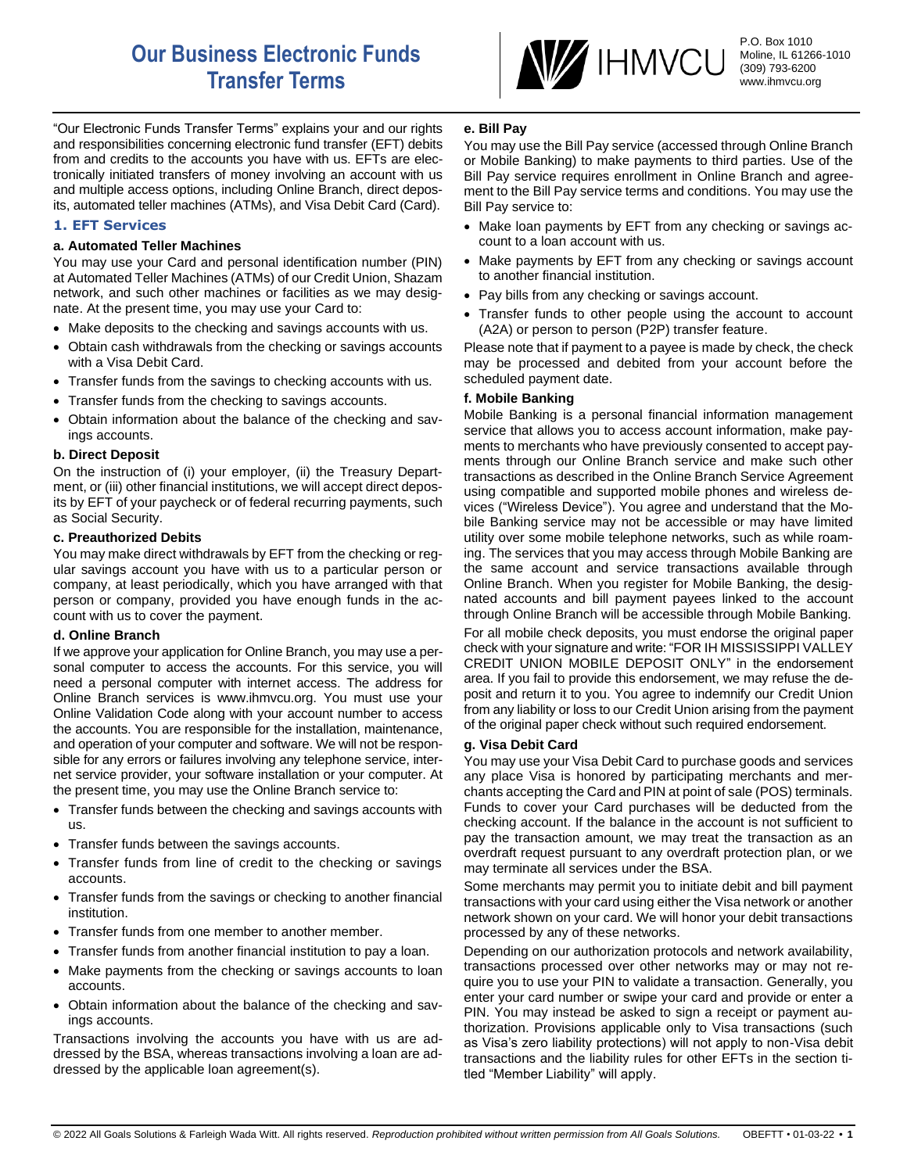# **Our Business Electronic Funds Transfer Terms**

**W** IHMVCU

P.O. Box 1010 Moline, IL 61266-1010 (309) 793-6200 www.ihmvcu.org

"Our Electronic Funds Transfer Terms" explains your and our rights and responsibilities concerning electronic fund transfer (EFT) debits from and credits to the accounts you have with us. EFTs are electronically initiated transfers of money involving an account with us and multiple access options, including Online Branch, direct deposits, automated teller machines (ATMs), and Visa Debit Card (Card).

## **1. EFT Services**

#### **a. Automated Teller Machines**

You may use your Card and personal identification number (PIN) at Automated Teller Machines (ATMs) of our Credit Union, Shazam network, and such other machines or facilities as we may designate. At the present time, you may use your Card to:

- Make deposits to the checking and savings accounts with us.
- Obtain cash withdrawals from the checking or savings accounts with a Visa Debit Card.
- Transfer funds from the savings to checking accounts with us.
- Transfer funds from the checking to savings accounts.
- Obtain information about the balance of the checking and savings accounts.

#### **b. Direct Deposit**

On the instruction of (i) your employer, (ii) the Treasury Department, or (iii) other financial institutions, we will accept direct deposits by EFT of your paycheck or of federal recurring payments, such as Social Security.

#### **c. Preauthorized Debits**

You may make direct withdrawals by EFT from the checking or regular savings account you have with us to a particular person or company, at least periodically, which you have arranged with that person or company, provided you have enough funds in the account with us to cover the payment.

#### **d. Online Branch**

If we approve your application for Online Branch, you may use a personal computer to access the accounts. For this service, you will need a personal computer with internet access. The address for Online Branch services is www.ihmvcu.org. You must use your Online Validation Code along with your account number to access the accounts. You are responsible for the installation, maintenance, and operation of your computer and software. We will not be responsible for any errors or failures involving any telephone service, internet service provider, your software installation or your computer. At the present time, you may use the Online Branch service to:

- Transfer funds between the checking and savings accounts with us.
- Transfer funds between the savings accounts.
- Transfer funds from line of credit to the checking or savings accounts.
- Transfer funds from the savings or checking to another financial institution.
- Transfer funds from one member to another member.
- Transfer funds from another financial institution to pay a loan.
- Make payments from the checking or savings accounts to loan accounts.
- Obtain information about the balance of the checking and savings accounts.

Transactions involving the accounts you have with us are addressed by the BSA, whereas transactions involving a loan are addressed by the applicable loan agreement(s).

## **e. Bill Pay**

You may use the Bill Pay service (accessed through Online Branch or Mobile Banking) to make payments to third parties. Use of the Bill Pay service requires enrollment in Online Branch and agreement to the Bill Pay service terms and conditions. You may use the Bill Pay service to:

- Make loan payments by EFT from any checking or savings account to a loan account with us.
- Make payments by EFT from any checking or savings account to another financial institution.
- Pay bills from any checking or savings account.
- Transfer funds to other people using the account to account (A2A) or person to person (P2P) transfer feature.

Please note that if payment to a payee is made by check, the check may be processed and debited from your account before the scheduled payment date.

## **f. Mobile Banking**

Mobile Banking is a personal financial information management service that allows you to access account information, make payments to merchants who have previously consented to accept payments through our Online Branch service and make such other transactions as described in the Online Branch Service Agreement using compatible and supported mobile phones and wireless devices ("Wireless Device"). You agree and understand that the Mobile Banking service may not be accessible or may have limited utility over some mobile telephone networks, such as while roaming. The services that you may access through Mobile Banking are the same account and service transactions available through Online Branch. When you register for Mobile Banking, the designated accounts and bill payment payees linked to the account through Online Branch will be accessible through Mobile Banking.

For all mobile check deposits, you must endorse the original paper check with your signature and write: "FOR IH MISSISSIPPI VALLEY CREDIT UNION MOBILE DEPOSIT ONLY" in the endorsement area. If you fail to provide this endorsement, we may refuse the deposit and return it to you. You agree to indemnify our Credit Union from any liability or loss to our Credit Union arising from the payment of the original paper check without such required endorsement.

#### **g. Visa Debit Card**

You may use your Visa Debit Card to purchase goods and services any place Visa is honored by participating merchants and merchants accepting the Card and PIN at point of sale (POS) terminals. Funds to cover your Card purchases will be deducted from the checking account. If the balance in the account is not sufficient to pay the transaction amount, we may treat the transaction as an overdraft request pursuant to any overdraft protection plan, or we may terminate all services under the BSA.

Some merchants may permit you to initiate debit and bill payment transactions with your card using either the Visa network or another network shown on your card. We will honor your debit transactions processed by any of these networks.

Depending on our authorization protocols and network availability, transactions processed over other networks may or may not require you to use your PIN to validate a transaction. Generally, you enter your card number or swipe your card and provide or enter a PIN. You may instead be asked to sign a receipt or payment authorization. Provisions applicable only to Visa transactions (such as Visa's zero liability protections) will not apply to non-Visa debit transactions and the liability rules for other EFTs in the section titled "Member Liability" will apply.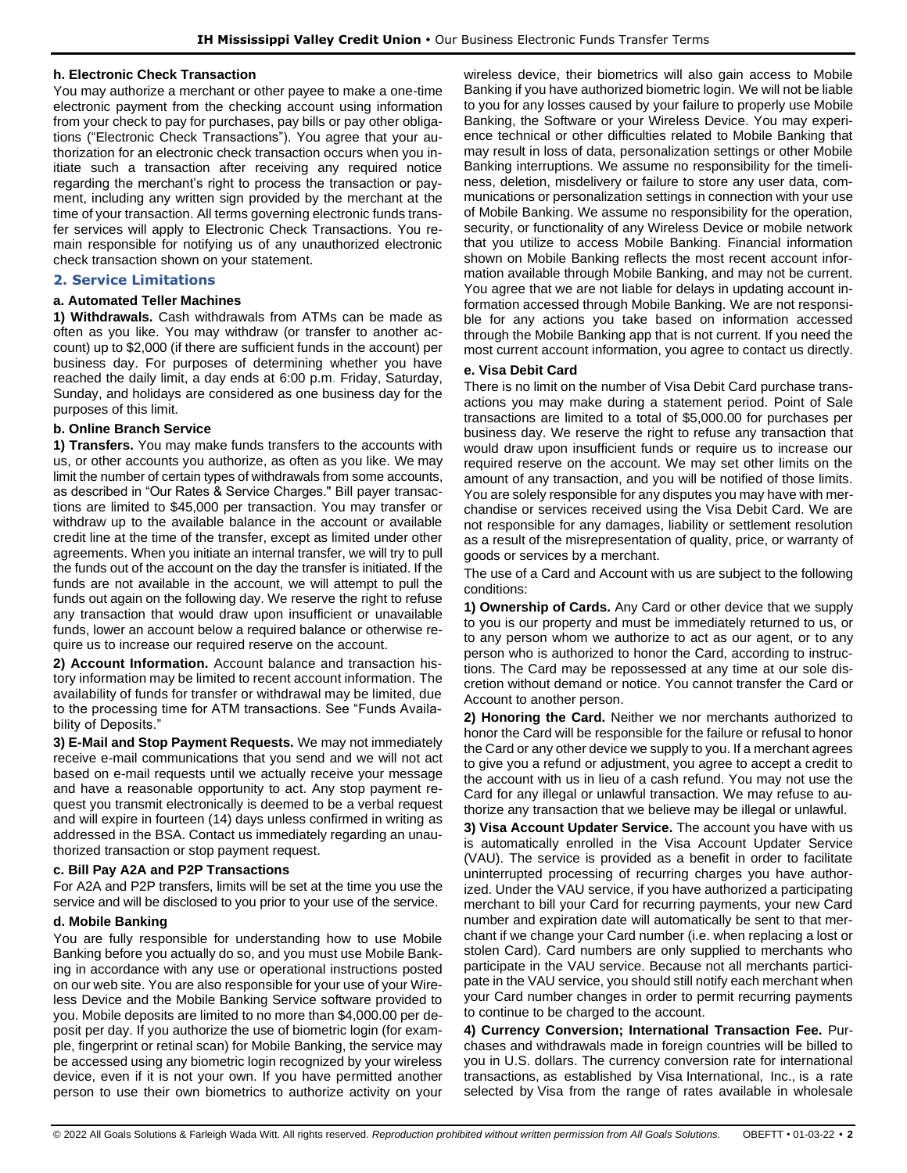#### **h. Electronic Check Transaction**

You may authorize a merchant or other payee to make a one-time electronic payment from the checking account using information from your check to pay for purchases, pay bills or pay other obligations ("Electronic Check Transactions"). You agree that your authorization for an electronic check transaction occurs when you initiate such a transaction after receiving any required notice regarding the merchant's right to process the transaction or payment, including any written sign provided by the merchant at the time of your transaction. All terms governing electronic funds transfer services will apply to Electronic Check Transactions. You remain responsible for notifying us of any unauthorized electronic check transaction shown on your statement.

#### **2. Service Limitations**

#### **a. Automated Teller Machines**

**1) Withdrawals.** Cash withdrawals from ATMs can be made as often as you like. You may withdraw (or transfer to another account) up to \$2,000 (if there are sufficient funds in the account) per business day. For purposes of determining whether you have reached the daily limit, a day ends at 6:00 p.m. Friday, Saturday, Sunday, and holidays are considered as one business day for the purposes of this limit.

#### **b. Online Branch Service**

**1) Transfers.** You may make funds transfers to the accounts with us, or other accounts you authorize, as often as you like. We may limit the number of certain types of withdrawals from some accounts, as described in "Our Rates & Service Charges." Bill payer transactions are limited to \$45,000 per transaction. You may transfer or withdraw up to the available balance in the account or available credit line at the time of the transfer, except as limited under other agreements. When you initiate an internal transfer, we will try to pull the funds out of the account on the day the transfer is initiated. If the funds are not available in the account, we will attempt to pull the funds out again on the following day. We reserve the right to refuse any transaction that would draw upon insufficient or unavailable funds, lower an account below a required balance or otherwise require us to increase our required reserve on the account.

**2) Account Information.** Account balance and transaction history information may be limited to recent account information. The availability of funds for transfer or withdrawal may be limited, due to the processing time for ATM transactions. See "Funds Availability of Deposits.'

**3) E-Mail and Stop Payment Requests.** We may not immediately receive e-mail communications that you send and we will not act based on e-mail requests until we actually receive your message and have a reasonable opportunity to act. Any stop payment request you transmit electronically is deemed to be a verbal request and will expire in fourteen (14) days unless confirmed in writing as addressed in the BSA. Contact us immediately regarding an unauthorized transaction or stop payment request.

#### **c. Bill Pay A2A and P2P Transactions**

For A2A and P2P transfers, limits will be set at the time you use the service and will be disclosed to you prior to your use of the service.

#### **d. Mobile Banking**

You are fully responsible for understanding how to use Mobile Banking before you actually do so, and you must use Mobile Banking in accordance with any use or operational instructions posted on our web site. You are also responsible for your use of your Wireless Device and the Mobile Banking Service software provided to you. Mobile deposits are limited to no more than \$4,000.00 per deposit per day. If you authorize the use of biometric login (for example, fingerprint or retinal scan) for Mobile Banking, the service may be accessed using any biometric login recognized by your wireless device, even if it is not your own. If you have permitted another person to use their own biometrics to authorize activity on your wireless device, their biometrics will also gain access to Mobile Banking if you have authorized biometric login. We will not be liable to you for any losses caused by your failure to properly use Mobile Banking, the Software or your Wireless Device. You may experience technical or other difficulties related to Mobile Banking that may result in loss of data, personalization settings or other Mobile Banking interruptions. We assume no responsibility for the timeliness, deletion, misdelivery or failure to store any user data, communications or personalization settings in connection with your use of Mobile Banking. We assume no responsibility for the operation, security, or functionality of any Wireless Device or mobile network that you utilize to access Mobile Banking. Financial information shown on Mobile Banking reflects the most recent account information available through Mobile Banking, and may not be current. You agree that we are not liable for delays in updating account information accessed through Mobile Banking. We are not responsible for any actions you take based on information accessed through the Mobile Banking app that is not current. If you need the most current account information, you agree to contact us directly.

#### **e. Visa Debit Card**

There is no limit on the number of Visa Debit Card purchase transactions you may make during a statement period. Point of Sale transactions are limited to a total of \$5,000.00 for purchases per business day. We reserve the right to refuse any transaction that would draw upon insufficient funds or require us to increase our required reserve on the account. We may set other limits on the amount of any transaction, and you will be notified of those limits. You are solely responsible for any disputes you may have with merchandise or services received using the Visa Debit Card. We are not responsible for any damages, liability or settlement resolution as a result of the misrepresentation of quality, price, or warranty of goods or services by a merchant.

The use of a Card and Account with us are subject to the following conditions:

**1) Ownership of Cards.** Any Card or other device that we supply to you is our property and must be immediately returned to us, or to any person whom we authorize to act as our agent, or to any person who is authorized to honor the Card, according to instructions. The Card may be repossessed at any time at our sole discretion without demand or notice. You cannot transfer the Card or Account to another person.

**2) Honoring the Card.** Neither we nor merchants authorized to honor the Card will be responsible for the failure or refusal to honor the Card or any other device we supply to you. If a merchant agrees to give you a refund or adjustment, you agree to accept a credit to the account with us in lieu of a cash refund. You may not use the Card for any illegal or unlawful transaction. We may refuse to authorize any transaction that we believe may be illegal or unlawful.

**3) Visa Account Updater Service.** The account you have with us is automatically enrolled in the Visa Account Updater Service (VAU). The service is provided as a benefit in order to facilitate uninterrupted processing of recurring charges you have authorized. Under the VAU service, if you have authorized a participating merchant to bill your Card for recurring payments, your new Card number and expiration date will automatically be sent to that merchant if we change your Card number (i.e. when replacing a lost or stolen Card). Card numbers are only supplied to merchants who participate in the VAU service. Because not all merchants participate in the VAU service, you should still notify each merchant when your Card number changes in order to permit recurring payments to continue to be charged to the account.

**4) Currency Conversion; International Transaction Fee.** Purchases and withdrawals made in foreign countries will be billed to you in U.S. dollars. The currency conversion rate for international transactions, as established by Visa International, Inc., is a rate selected by Visa from the range of rates available in wholesale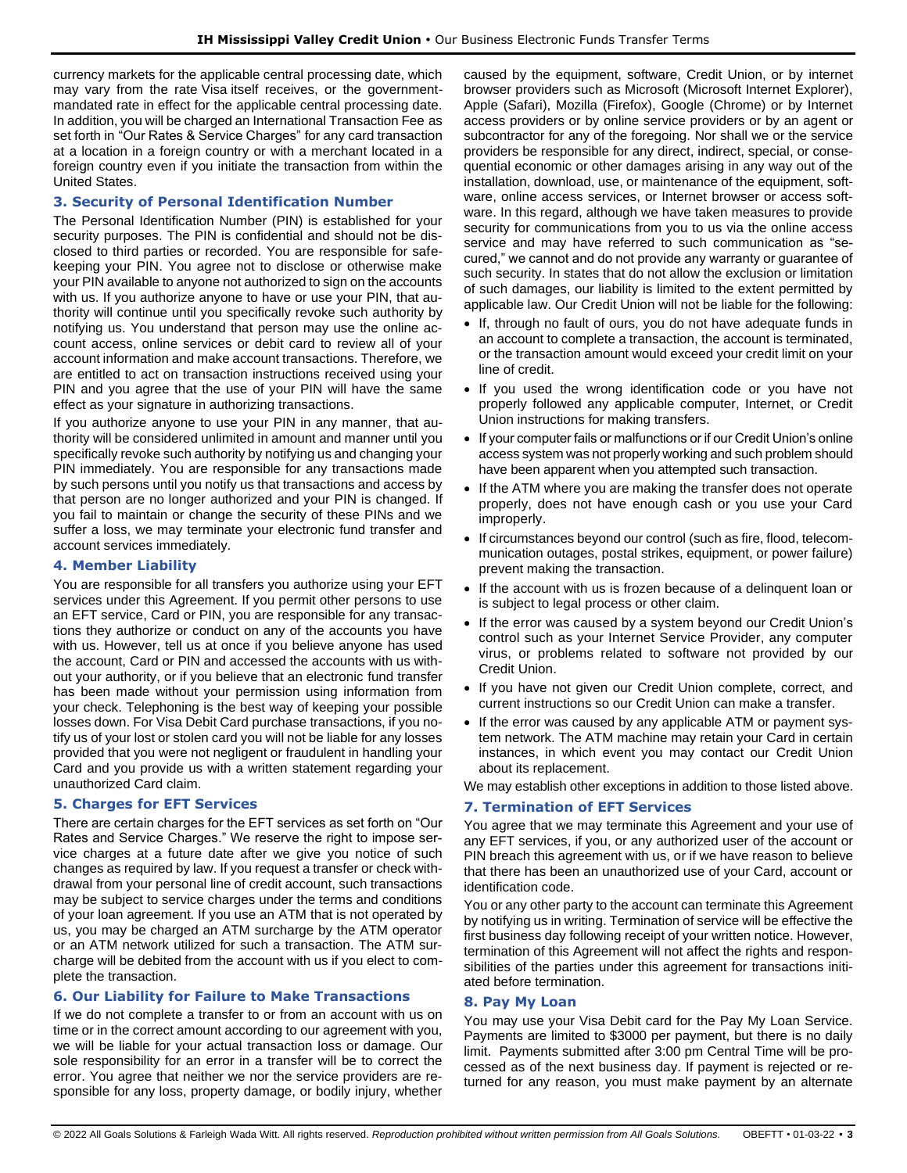currency markets for the applicable central processing date, which may vary from the rate Visa itself receives, or the governmentmandated rate in effect for the applicable central processing date. In addition, you will be charged an International Transaction Fee as set forth in "Our Rates & Service Charges" for any card transaction at a location in a foreign country or with a merchant located in a foreign country even if you initiate the transaction from within the United States.

## **3. Security of Personal Identification Number**

The Personal Identification Number (PIN) is established for your security purposes. The PIN is confidential and should not be disclosed to third parties or recorded. You are responsible for safekeeping your PIN. You agree not to disclose or otherwise make your PIN available to anyone not authorized to sign on the accounts with us. If you authorize anyone to have or use your PIN, that authority will continue until you specifically revoke such authority by notifying us. You understand that person may use the online account access, online services or debit card to review all of your account information and make account transactions. Therefore, we are entitled to act on transaction instructions received using your PIN and you agree that the use of your PIN will have the same effect as your signature in authorizing transactions.

If you authorize anyone to use your PIN in any manner, that authority will be considered unlimited in amount and manner until you specifically revoke such authority by notifying us and changing your PIN immediately. You are responsible for any transactions made by such persons until you notify us that transactions and access by that person are no longer authorized and your PIN is changed. If you fail to maintain or change the security of these PINs and we suffer a loss, we may terminate your electronic fund transfer and account services immediately.

## **4. Member Liability**

You are responsible for all transfers you authorize using your EFT services under this Agreement. If you permit other persons to use an EFT service, Card or PIN, you are responsible for any transactions they authorize or conduct on any of the accounts you have with us. However, tell us at once if you believe anyone has used the account, Card or PIN and accessed the accounts with us without your authority, or if you believe that an electronic fund transfer has been made without your permission using information from your check. Telephoning is the best way of keeping your possible losses down. For Visa Debit Card purchase transactions, if you notify us of your lost or stolen card you will not be liable for any losses provided that you were not negligent or fraudulent in handling your Card and you provide us with a written statement regarding your unauthorized Card claim.

## **5. Charges for EFT Services**

There are certain charges for the EFT services as set forth on "Our Rates and Service Charges." We reserve the right to impose service charges at a future date after we give you notice of such changes as required by law. If you request a transfer or check withdrawal from your personal line of credit account, such transactions may be subject to service charges under the terms and conditions of your loan agreement. If you use an ATM that is not operated by us, you may be charged an ATM surcharge by the ATM operator or an ATM network utilized for such a transaction. The ATM surcharge will be debited from the account with us if you elect to complete the transaction.

## **6. Our Liability for Failure to Make Transactions**

If we do not complete a transfer to or from an account with us on time or in the correct amount according to our agreement with you, we will be liable for your actual transaction loss or damage. Our sole responsibility for an error in a transfer will be to correct the error. You agree that neither we nor the service providers are responsible for any loss, property damage, or bodily injury, whether caused by the equipment, software, Credit Union, or by internet browser providers such as Microsoft (Microsoft Internet Explorer), Apple (Safari), Mozilla (Firefox), Google (Chrome) or by Internet access providers or by online service providers or by an agent or subcontractor for any of the foregoing. Nor shall we or the service providers be responsible for any direct, indirect, special, or consequential economic or other damages arising in any way out of the installation, download, use, or maintenance of the equipment, software, online access services, or Internet browser or access software. In this regard, although we have taken measures to provide security for communications from you to us via the online access service and may have referred to such communication as "secured," we cannot and do not provide any warranty or guarantee of such security. In states that do not allow the exclusion or limitation of such damages, our liability is limited to the extent permitted by applicable law. Our Credit Union will not be liable for the following:

- If, through no fault of ours, you do not have adequate funds in an account to complete a transaction, the account is terminated, or the transaction amount would exceed your credit limit on your line of credit.
- If you used the wrong identification code or you have not properly followed any applicable computer, Internet, or Credit Union instructions for making transfers.
- If your computer fails or malfunctions or if our Credit Union's online access system was not properly working and such problem should have been apparent when you attempted such transaction.
- If the ATM where you are making the transfer does not operate properly, does not have enough cash or you use your Card improperly.
- If circumstances beyond our control (such as fire, flood, telecommunication outages, postal strikes, equipment, or power failure) prevent making the transaction.
- If the account with us is frozen because of a delinquent loan or is subject to legal process or other claim.
- If the error was caused by a system beyond our Credit Union's control such as your Internet Service Provider, any computer virus, or problems related to software not provided by our Credit Union.
- If you have not given our Credit Union complete, correct, and current instructions so our Credit Union can make a transfer.
- If the error was caused by any applicable ATM or payment system network. The ATM machine may retain your Card in certain instances, in which event you may contact our Credit Union about its replacement.

We may establish other exceptions in addition to those listed above.

# **7. Termination of EFT Services**

You agree that we may terminate this Agreement and your use of any EFT services, if you, or any authorized user of the account or PIN breach this agreement with us, or if we have reason to believe that there has been an unauthorized use of your Card, account or identification code.

You or any other party to the account can terminate this Agreement by notifying us in writing. Termination of service will be effective the first business day following receipt of your written notice. However, termination of this Agreement will not affect the rights and responsibilities of the parties under this agreement for transactions initiated before termination.

## **8. Pay My Loan**

You may use your Visa Debit card for the Pay My Loan Service. Payments are limited to \$3000 per payment, but there is no daily limit. Payments submitted after 3:00 pm Central Time will be processed as of the next business day. If payment is rejected or returned for any reason, you must make payment by an alternate